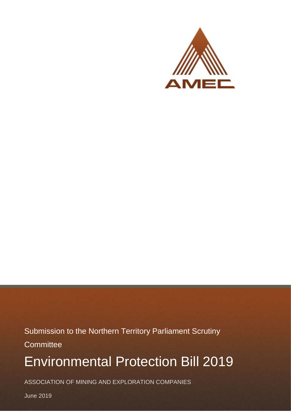

Submission to the Northern Territory Parliament Scrutiny **Committee** 

# Environmental Protection Bill 2019

ASSOCIATION OF MINING AND EXPLORATION COMPANIES

June 2019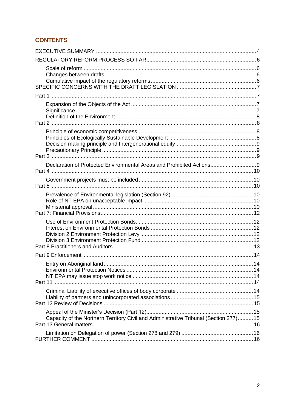# **CONTENTS**

| Declaration of Protected Environmental Areas and Prohibited Actions 9                |  |
|--------------------------------------------------------------------------------------|--|
|                                                                                      |  |
|                                                                                      |  |
|                                                                                      |  |
|                                                                                      |  |
| Part 11.                                                                             |  |
|                                                                                      |  |
| Capacity of the Northern Territory Civil and Administrative Tribunal (Section 277)15 |  |
|                                                                                      |  |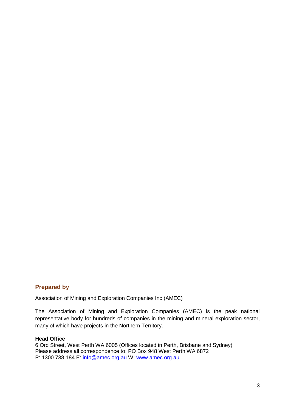#### **Prepared by**

Association of Mining and Exploration Companies Inc (AMEC)

The Association of Mining and Exploration Companies (AMEC) is the peak national representative body for hundreds of companies in the mining and mineral exploration sector, many of which have projects in the Northern Territory.

#### **Head Office**

6 Ord Street, West Perth WA 6005 (Offices located in Perth, Brisbane and Sydney) Please address all correspondence to: PO Box 948 West Perth WA 6872 P: 1300 738 184 E: [info@amec.org.au](mailto:info@amec.org.au) W: [www.amec.org.au](http://www.amec.org.au/)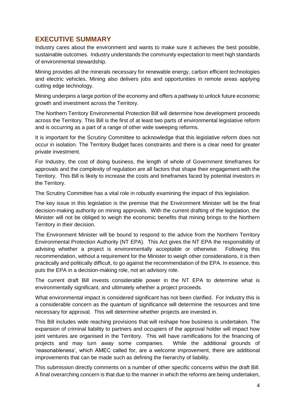# <span id="page-3-0"></span>**EXECUTIVE SUMMARY**

Industry cares about the environment and wants to make sure it achieves the best possible, sustainable outcomes. Industry understands the community expectation to meet high standards of environmental stewardship.

Mining provides all the minerals necessary for renewable energy, carbon efficient technologies and electric vehicles. Mining also delivers jobs and opportunities in remote areas applying cutting edge technology.

Mining underpins a large portion of the economy and offers a pathway to unlock future economic growth and investment across the Territory.

The Northern Territory Environmental Protection Bill will determine how development proceeds across the Territory. This Bill is the first of at least two parts of environmental legislative reform and is occurring as a part of a range of other wide sweeping reforms.

It is important for the Scrutiny Committee to acknowledge that this legislative reform does not occur in isolation. The Territory Budget faces constraints and there is a clear need for greater private investment.

For Industry, the cost of doing business, the length of whole of Government timeframes for approvals and the complexity of regulation are all factors that shape their engagement with the Territory. This Bill is likely to increase the costs and timeframes faced by potential investors in the Territory.

The Scrutiny Committee has a vital role in robustly examining the impact of this legislation.

The key issue in this legislation is the premise that the Environment Minister will be the final decision-making authority on mining approvals. With the current drafting of the legislation, the Minister will not be obliged to weigh the economic benefits that mining brings to the Northern Territory in their decision.

The Environment Minister will be bound to respond to the advice from the Northern Territory Environmental Protection Authority (NT EPA). This Act gives the NT EPA the responsibility of advising whether a project is environmentally acceptable or otherwise. Following this recommendation, without a requirement for the Minister to weigh other considerations, it is then practically and politically difficult, to go against the recommendation of the EPA. In essence, this puts the EPA in a decision-making role, not an advisory role.

The current draft Bill invests considerable power in the NT EPA to determine what is environmentally significant, and ultimately whether a project proceeds.

What environmental impact is considered significant has not been clarified. For Industry this is a considerable concern as the quantum of significance will determine the resources and time necessary for approval. This will determine whether projects are invested in.

This Bill includes wide reaching provisions that will reshape how business is undertaken. The expansion of criminal liability to partners and occupiers of the approval holder will impact how joint ventures are organised in the Territory. This will have ramifications for the financing of projects and may turn away some companies. While the additional grounds of 'reasonableness', which AMEC called for, are a welcome improvement, there are additional improvements that can be made such as defining the hierarchy of liability.

This submission directly comments on a number of other specific concerns within the draft Bill. A final overarching concern is that due to the manner in which the reforms are being undertaken,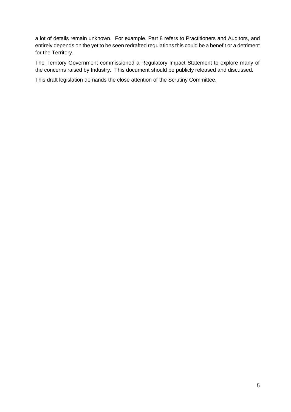a lot of details remain unknown. For example, Part 8 refers to Practitioners and Auditors, and entirely depends on the yet to be seen redrafted regulations this could be a benefit or a detriment for the Territory.

The Territory Government commissioned a Regulatory Impact Statement to explore many of the concerns raised by Industry. This document should be publicly released and discussed.

This draft legislation demands the close attention of the Scrutiny Committee.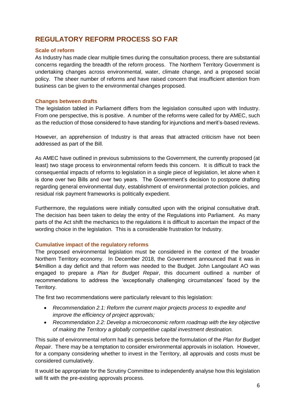# <span id="page-5-0"></span>**REGULATORY REFORM PROCESS SO FAR**

#### <span id="page-5-1"></span>**Scale of reform**

As Industry has made clear multiple times during the consultation process, there are substantial concerns regarding the breadth of the reform process. The Northern Territory Government is undertaking changes across environmental, water, climate change, and a proposed social policy. The sheer number of reforms and have raised concern that insufficient attention from business can be given to the environmental changes proposed.

#### <span id="page-5-2"></span>**Changes between drafts**

The legislation tabled in Parliament differs from the legislation consulted upon with Industry. From one perspective, this is positive. A number of the reforms were called for by AMEC, such as the reduction of those considered to have standing for injunctions and merit's-based reviews.

However, an apprehension of Industry is that areas that attracted criticism have not been addressed as part of the Bill.

As AMEC have outlined in previous submissions to the Government, the currently proposed (at least) two stage process to environmental reform feeds this concern. It is difficult to track the consequential impacts of reforms to legislation in a single piece of legislation, let alone when it is done over two Bills and over two years. The Government's decision to postpone drafting regarding general environmental duty, establishment of environmental protection policies, and residual risk payment frameworks is politically expedient.

Furthermore, the regulations were initially consulted upon with the original consultative draft. The decision has been taken to delay the entry of the Regulations into Parliament. As many parts of the Act shift the mechanics to the regulations it is difficult to ascertain the impact of the wording choice in the legislation. This is a considerable frustration for Industry.

#### <span id="page-5-3"></span>**Cumulative impact of the regulatory reforms**

The proposed environmental legislation must be considered in the context of the broader Northern Territory economy. In December 2018, the Government announced that it was in \$4million a day deficit and that reform was needed to the Budget. John Langoulant AO was engaged to prepare a *Plan for Budget Repair*, this document outlined a number of recommendations to address the 'exceptionally challenging circumstances' faced by the Territory.

The first two recommendations were particularly relevant to this legislation:

- *Recommendation 2.1: Reform the current major projects process to expedite and improve the efficiency of project approvals;*
- *Recommendation 2.2: Develop a microeconomic reform roadmap with the key objective of making the Territory a globally competitive capital investment destination.*

This suite of environmental reform had its genesis before the formulation of the *Plan for Budget Repair*. There may be a temptation to consider environmental approvals in isolation. However, for a company considering whether to invest in the Territory, all approvals and costs must be considered cumulatively.

It would be appropriate for the Scrutiny Committee to independently analyse how this legislation will fit with the pre-existing approvals process.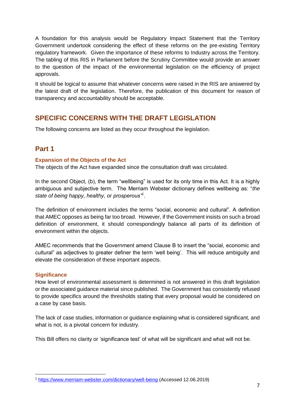A foundation for this analysis would be Regulatory Impact Statement that the Territory Government undertook considering the effect of these reforms on the pre-existing Territory regulatory framework. Given the importance of these reforms to Industry across the Territory. The tabling of this RIS in Parliament before the Scrutiny Committee would provide an answer to the question of the impact of the environmental legislation on the efficiency of project approvals.

It should be logical to assume that whatever concerns were raised in the RIS are answered by the latest draft of the legislation. Therefore, the publication of this document for reason of transparency and accountability should be acceptable.

# <span id="page-6-0"></span>**SPECIFIC CONCERNS WITH THE DRAFT LEGISLATION**

<span id="page-6-1"></span>The following concerns are listed as they occur throughout the legislation.

# **Part 1**

#### <span id="page-6-2"></span>**Expansion of the Objects of the Act**

The objects of the Act have expanded since the consultation draft was circulated.

In the second Object, (b), the term "wellbeing" is used for its only time in this Act. It is a highly ambiguous and subjective term. The Merriam Webster dictionary defines wellbeing as: "*the state of being happy, healthy, or prosperous"<sup>1</sup>* .

The definition of environment includes the terms "social, economic and cultural". A definition that AMEC opposes as being far too broad. However, if the Government insists on such a broad definition of environment, it should correspondingly balance all parts of its definition of environment within the objects.

AMEC recommends that the Government amend Clause B to insert the "social, economic and cultural" as adjectives to greater definer the term 'well being'. This will reduce ambiguity and elevate the consideration of these important aspects.

#### <span id="page-6-3"></span>**Significance**

How level of environmental assessment is determined is not answered in this draft legislation or the associated guidance material since published. The Government has consistently refused to provide specifics around the thresholds stating that every proposal would be considered on a case by case basis.

The lack of case studies, information or guidance explaining what is considered significant, and what is not, is a pivotal concern for industry.

This Bill offers no clarity or 'significance test' of what will be significant and what will not be.

<sup>-</sup><sup>1</sup> <https://www.merriam-webster.com/dictionary/well-being> (Accessed 12.06.2019)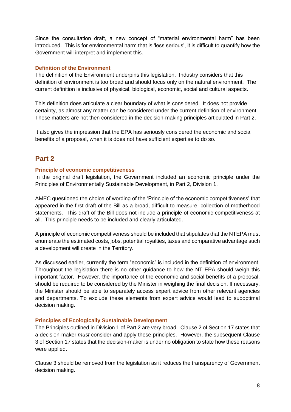Since the consultation draft, a new concept of "material environmental harm" has been introduced. This is for environmental harm that is 'less serious', it is difficult to quantify how the Government will interpret and implement this.

#### <span id="page-7-0"></span>**Definition of the Environment**

The definition of the Environment underpins this legislation. Industry considers that this definition of environment is too broad and should focus only on the natural environment. The current definition is inclusive of physical, biological, economic, social and cultural aspects.

This definition does articulate a clear boundary of what is considered. It does not provide certainty, as almost any matter can be considered under the current definition of environment. These matters are not then considered in the decision-making principles articulated in Part 2.

It also gives the impression that the EPA has seriously considered the economic and social benefits of a proposal, when it is does not have sufficient expertise to do so.

## <span id="page-7-1"></span>**Part 2**

#### <span id="page-7-2"></span>**Principle of economic competitiveness**

In the original draft legislation, the Government included an economic principle under the Principles of Environmentally Sustainable Development, in Part 2, Division 1.

AMEC questioned the choice of wording of the 'Principle of the economic competitiveness' that appeared in the first draft of the Bill as a broad, difficult to measure, collection of motherhood statements. This draft of the Bill does not include a principle of economic competitiveness at all. This principle needs to be included and clearly articulated.

A principle of economic competitiveness should be included that stipulates that the NTEPA must enumerate the estimated costs, jobs, potential royalties, taxes and comparative advantage such a development will create in the Territory.

As discussed earlier, currently the term "economic" is included in the definition of environment. Throughout the legislation there is no other guidance to how the NT EPA should weigh this important factor. However, the importance of the economic and social benefits of a proposal, should be required to be considered by the Minister in weighing the final decision. If necessary, the Minister should be able to separately access expert advice from other relevant agencies and departments. To exclude these elements from expert advice would lead to suboptimal decision making.

#### <span id="page-7-3"></span>**Principles of Ecologically Sustainable Development**

The Principles outlined in Division 1 of Part 2 are very broad. Clause 2 of Section 17 states that a decision-maker *must* consider and apply these principles. However, the subsequent Clause 3 of Section 17 states that the decision-maker is under no obligation to state how these reasons were applied.

Clause 3 should be removed from the legislation as it reduces the transparency of Government decision making.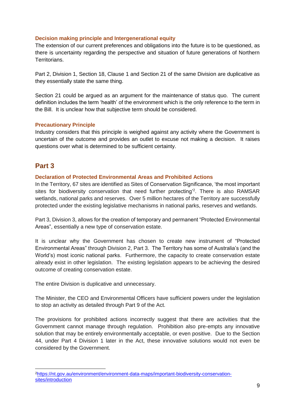#### <span id="page-8-0"></span>**Decision making principle and Intergenerational equity**

The extension of our current preferences and obligations into the future is to be questioned, as there is uncertainty regarding the perspective and situation of future generations of Northern Territorians.

Part 2, Division 1, Section 18, Clause 1 and Section 21 of the same Division are duplicative as they essentially state the same thing.

Section 21 could be argued as an argument for the maintenance of status quo. The current definition includes the term 'health' of the environment which is the only reference to the term in the Bill. It is unclear how that subjective term should be considered.

#### <span id="page-8-1"></span>**Precautionary Principle**

Industry considers that this principle is weighed against any activity where the Government is uncertain of the outcome and provides an outlet to excuse not making a decision. It raises questions over what is determined to be sufficient certainty.

## <span id="page-8-2"></span>**Part 3**

#### <span id="page-8-3"></span>**Declaration of Protected Environmental Areas and Prohibited Actions**

In the Territory, 67 sites are identified as Sites of Conservation Significance, 'the most important sites for biodiversity conservation that need further protecting<sup>'2</sup>. There is also RAMSAR wetlands, national parks and reserves. Over 5 million hectares of the Territory are successfully protected under the existing legislative mechanisms in national parks, reserves and wetlands.

Part 3, Division 3, allows for the creation of temporary and permanent "Protected Environmental Areas", essentially a new type of conservation estate.

It is unclear why the Government has chosen to create new instrument of "Protected Environmental Areas" through Division 2, Part 3. The Territory has some of Australia's (and the World's) most iconic national parks. Furthermore, the capacity to create conservation estate already exist in other legislation. The existing legislation appears to be achieving the desired outcome of creating conservation estate.

The entire Division is duplicative and unnecessary.

The Minister, the CEO and Environmental Officers have sufficient powers under the legislation to stop an activity as detailed through Part 9 of the Act.

The provisions for prohibited actions incorrectly suggest that there are activities that the Government cannot manage through regulation. Prohibition also pre-empts any innovative solution that may be entirely environmentally acceptable, or even positive. Due to the Section 44, under Part 4 Division 1 later in the Act, these innovative solutions would not even be considered by the Government.

<sup>-</sup>2[https://nt.gov.au/environment/environment-data-maps/important-biodiversity-conservation](https://nt.gov.au/environment/environment-data-maps/important-biodiversity-conservation-sites/introduction)[sites/introduction](https://nt.gov.au/environment/environment-data-maps/important-biodiversity-conservation-sites/introduction)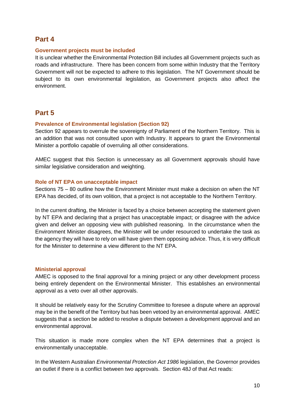## <span id="page-9-0"></span>**Part 4**

#### <span id="page-9-1"></span>**Government projects must be included**

It is unclear whether the Environmental Protection Bill includes all Government projects such as roads and infrastructure. There has been concern from some within Industry that the Territory Government will not be expected to adhere to this legislation. The NT Government should be subject to its own environmental legislation, as Government projects also affect the environment.

# <span id="page-9-2"></span>**Part 5**

#### <span id="page-9-3"></span>**Prevalence of Environmental legislation (Section 92)**

Section 92 appears to overrule the sovereignty of Parliament of the Northern Territory. This is an addition that was not consulted upon with Industry. It appears to grant the Environmental Minister a portfolio capable of overruling all other considerations.

AMEC suggest that this Section is unnecessary as all Government approvals should have similar legislative consideration and weighting.

#### <span id="page-9-4"></span>**Role of NT EPA on unacceptable impact**

Sections 75 – 80 outline how the Environment Minister must make a decision on when the NT EPA has decided, of its own volition, that a project is not acceptable to the Northern Territory.

In the current drafting, the Minister is faced by a choice between accepting the statement given by NT EPA and declaring that a project has unacceptable impact; or disagree with the advice given and deliver an opposing view with published reasoning. In the circumstance when the Environment Minister disagrees, the Minister will be under resourced to undertake the task as the agency they will have to rely on will have given them opposing advice. Thus, it is very difficult for the Minister to determine a view different to the NT EPA.

#### <span id="page-9-5"></span>**Ministerial approval**

AMEC is opposed to the final approval for a mining project or any other development process being entirely dependent on the Environmental Minister. This establishes an environmental approval as a veto over all other approvals.

It should be relatively easy for the Scrutiny Committee to foresee a dispute where an approval may be in the benefit of the Territory but has been vetoed by an environmental approval. AMEC suggests that a section be added to resolve a dispute between a development approval and an environmental approval.

This situation is made more complex when the NT EPA determines that a project is environmentally unacceptable.

In the Western Australian *Environmental Protection Act 1986* legislation, the Governor provides an outlet if there is a conflict between two approvals. Section 48J of that Act reads: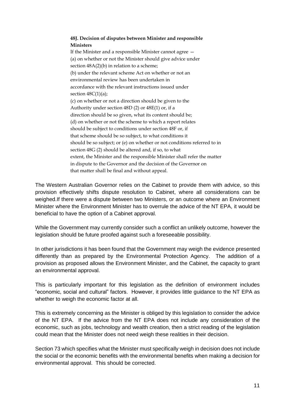#### **48J. Decision of disputes between Minister and responsible Ministers**

If the Minister and a responsible Minister cannot agree — (a) on whether or not the Minister should give advice under section  $48A(2)(b)$  in relation to a scheme; (b) under the relevant scheme Act on whether or not an environmental review has been undertaken in accordance with the relevant instructions issued under section  $48C(1)(a)$ ; (c) on whether or not a direction should be given to the Authority under section 48D (2) or 48E(1) or, if a direction should be so given, what its content should be; (d) on whether or not the scheme to which a report relates should be subject to conditions under section 48F or, if that scheme should be so subject, to what conditions it should be so subject; or (e) on whether or not conditions referred to in section 48G (2) should be altered and, if so, to what extent, the Minister and the responsible Minister shall refer the matter in dispute to the Governor and the decision of the Governor on that matter shall be final and without appeal.

The Western Australian Governor relies on the Cabinet to provide them with advice, so this provision effectively shifts dispute resolution to Cabinet, where all considerations can be weighed.If there were a dispute between two Ministers, or an outcome where an Environment Minister where the Environment Minister has to overrule the advice of the NT EPA, it would be beneficial to have the option of a Cabinet approval.

While the Government may currently consider such a conflict an unlikely outcome, however the legislation should be future proofed against such a foreseeable possibility.

In other jurisdictions it has been found that the Government may weigh the evidence presented differently than as prepared by the Environmental Protection Agency. The addition of a provision as proposed allows the Environment Minister, and the Cabinet, the capacity to grant an environmental approval.

This is particularly important for this legislation as the definition of environment includes "economic, social and cultural" factors. However, it provides little guidance to the NT EPA as whether to weigh the economic factor at all.

This is extremely concerning as the Minister is obliged by this legislation to consider the advice of the NT EPA. If the advice from the NT EPA does not include any consideration of the economic, such as jobs, technology and wealth creation, then a strict reading of the legislation could mean that the Minister does not need weigh these realities in their decision.

Section 73 which specifies what the Minister must specifically weigh in decision does not include the social or the economic benefits with the environmental benefits when making a decision for environmental approval. This should be corrected.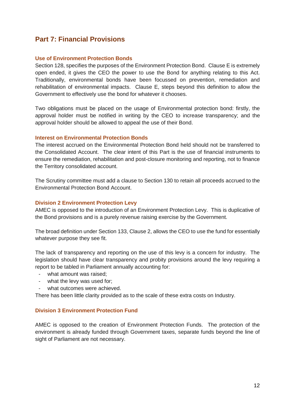# <span id="page-11-0"></span>**Part 7: Financial Provisions**

#### <span id="page-11-1"></span>**Use of Environment Protection Bonds**

Section 128, specifies the purposes of the Environment Protection Bond. Clause E is extremely open ended, it gives the CEO the power to use the Bond for anything relating to this Act. Traditionally, environmental bonds have been focussed on prevention, remediation and rehabilitation of environmental impacts. Clause E, steps beyond this definition to allow the Government to effectively use the bond for whatever it chooses.

Two obligations must be placed on the usage of Environmental protection bond: firstly, the approval holder must be notified in writing by the CEO to increase transparency; and the approval holder should be allowed to appeal the use of their Bond.

#### <span id="page-11-2"></span>**Interest on Environmental Protection Bonds**

The interest accrued on the Environmental Protection Bond held should not be transferred to the Consolidated Account. The clear intent of this Part is the use of financial instruments to ensure the remediation, rehabilitation and post-closure monitoring and reporting, not to finance the Territory consolidated account.

The Scrutiny committee must add a clause to Section 130 to retain all proceeds accrued to the Environmental Protection Bond Account.

#### <span id="page-11-3"></span>**Division 2 Environment Protection Levy**

AMEC is opposed to the introduction of an Environment Protection Levy. This is duplicative of the Bond provisions and is a purely revenue raising exercise by the Government.

The broad definition under Section 133, Clause 2, allows the CEO to use the fund for essentially whatever purpose they see fit.

The lack of transparency and reporting on the use of this levy is a concern for industry. The legislation should have clear transparency and probity provisions around the levy requiring a report to be tabled in Parliament annually accounting for:

- what amount was raised;
- what the levy was used for;
- what outcomes were achieved.

There has been little clarity provided as to the scale of these extra costs on Industry.

#### <span id="page-11-4"></span>**Division 3 Environment Protection Fund**

AMEC is opposed to the creation of Environment Protection Funds. The protection of the environment is already funded through Government taxes, separate funds beyond the line of sight of Parliament are not necessary.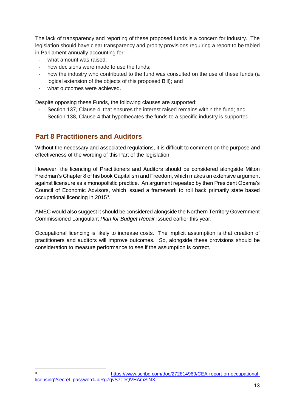The lack of transparency and reporting of these proposed funds is a concern for industry. The legislation should have clear transparency and probity provisions requiring a report to be tabled in Parliament annually accounting for:

- what amount was raised:
- how decisions were made to use the funds:
- how the industry who contributed to the fund was consulted on the use of these funds (a logical extension of the objects of this proposed Bill); and
- what outcomes were achieved.

Despite opposing these Funds, the following clauses are supported:

- Section 137, Clause 4, that ensures the interest raised remains within the fund; and
- <span id="page-12-0"></span>Section 138, Clause 4 that hypothecates the funds to a specific industry is supported.

## **Part 8 Practitioners and Auditors**

Without the necessary and associated regulations, it is difficult to comment on the purpose and effectiveness of the wording of this Part of the legislation.

However, the licencing of Practitioners and Auditors should be considered alongside Milton Freidman's Chapter 8 of his book Capitalism and Freedom, which makes an extensive argument against licensure as a monopolistic practice. An argument repeated by then President Obama's Council of Economic Advisors, which issued a framework to roll back primarily state based occupational licencing in 2015<sup>3</sup>.

AMEC would also suggest it should be considered alongside the Northern Territory Government Commissioned Langoulant *Plan for Budget Repair* issued earlier this year.

Occupational licencing is likely to increase costs. The implicit assumption is that creation of practitioners and auditors will improve outcomes. So, alongside these provisions should be consideration to measure performance to see if the assumption is correct.

 $\overline{3}$ [https://www.scribd.com/doc/272814969/CEA-report-on-occupational](https://www.scribd.com/doc/272814969/CEA-report-on-occupational-licensing?secret_password=piRg7qvS7TeQVHAmSiNX)[licensing?secret\\_password=piRg7qvS7TeQVHAmSiNX](https://www.scribd.com/doc/272814969/CEA-report-on-occupational-licensing?secret_password=piRg7qvS7TeQVHAmSiNX)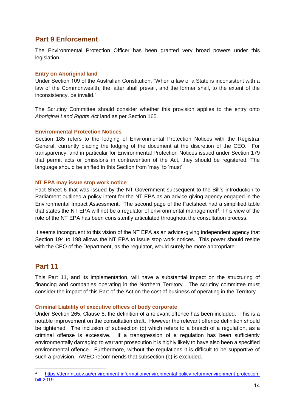# <span id="page-13-0"></span>**Part 9 Enforcement**

The Environmental Protection Officer has been granted very broad powers under this legislation.

#### <span id="page-13-1"></span>**Entry on Aboriginal land**

Under Section 109 of the Australian Constitution, "When a law of a State is inconsistent with a law of the Commonwealth, the latter shall prevail, and the former shall, to the extent of the inconsistency, be invalid."

The Scrutiny Committee should consider whether this provision applies to the entry onto *Aboriginal Land Rights Act* land as per Section 165.

#### <span id="page-13-2"></span>**Environmental Protection Notices**

Section 185 refers to the lodging of Environmental Protection Notices with the Registrar General, currently placing the lodging of the document at the discretion of the CEO. For transparency, and in particular for Environmental Protection Notices issued under Section 179 that permit acts or omissions in contravention of the Act, they should be registered. The language should be shifted in this Section from 'may' to 'must'.

#### <span id="page-13-3"></span>**NT EPA may issue stop work notice**

Fact Sheet 6 that was issued by the NT Government subsequent to the Bill's introduction to Parliament outlined a policy intent for the NT EPA as an advice-giving agency engaged in the Environmental Impact Assessment. The second page of the Factsheet had a simplified table that states the NT EPA will not be a regulator of environmental management<sup>4</sup>. This view of the role of the NT EPA has been consistently articulated throughout the consultation process.

It seems incongruent to this vision of the NT EPA as an advice-giving independent agency that Section 194 to 198 allows the NT EPA to issue stop work notices. This power should reside with the CEO of the Department, as the regulator, would surely be more appropriate.

## <span id="page-13-4"></span>**Part 11**

-

This Part 11, and its implementation, will have a substantial impact on the structuring of financing and companies operating in the Northern Territory. The scrutiny committee must consider the impact of this Part of the Act on the cost of business of operating in the Territory.

#### <span id="page-13-5"></span>**Criminal Liability of executive offices of body corporate**

Under Section 265, Clause 8, the definition of a relevant offence has been included. This is a notable improvement on the consultation draft. However the relevant offence definition should be tightened. The inclusion of subsection (b) which refers to a breach of a regulation, as a criminal offense is excessive. If a transgression of a regulation has been sufficiently environmentally damaging to warrant prosecution it is highly likely to have also been a specified environmental offence. Furthermore, without the regulations it is difficult to be supportive of such a provision. AMEC recommends that subsection (b) is excluded.

<sup>4</sup> [https://denr.nt.gov.au/environment-information/environmental-policy-reform/environment-protection](https://denr.nt.gov.au/environment-information/environmental-policy-reform/environment-protection-bill-2019)[bill-2019](https://denr.nt.gov.au/environment-information/environmental-policy-reform/environment-protection-bill-2019)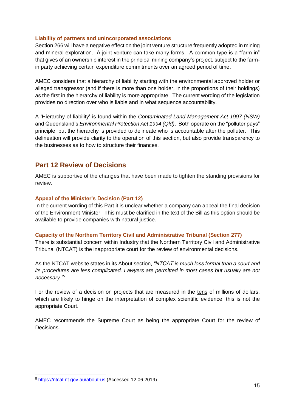#### <span id="page-14-0"></span>**Liability of partners and unincorporated associations**

Section 266 will have a negative effect on the joint venture structure frequently adopted in mining and mineral exploration. A joint venture can take many forms. A common type is a "farm in" that gives of an ownership interest in the principal mining company's project, subject to the farmin party achieving certain expenditure commitments over an agreed period of time.

AMEC considers that a hierarchy of liability starting with the environmental approved holder or alleged transgressor (and if there is more than one holder, in the proportions of their holdings) as the first in the hierarchy of liability is more appropriate. The current wording of the legislation provides no direction over who is liable and in what sequence accountability.

A 'Hierarchy of liability' is found within the *Contaminated Land Management Act 1997 (NSW)* and Queensland's *Environmental Protection Act 1994 (Qld)*. Both operate on the "polluter pays" principle, but the hierarchy is provided to delineate who is accountable after the polluter. This delineation will provide clarity to the operation of this section, but also provide transparency to the businesses as to how to structure their finances.

## <span id="page-14-1"></span>**Part 12 Review of Decisions**

AMEC is supportive of the changes that have been made to tighten the standing provisions for review.

#### <span id="page-14-2"></span>**Appeal of the Minister's Decision (Part 12)**

In the current wording of this Part it is unclear whether a company can appeal the final decision of the Environment Minister. This must be clarified in the text of the Bill as this option should be available to provide companies with natural justice.

#### <span id="page-14-3"></span>**Capacity of the Northern Territory Civil and Administrative Tribunal (Section 277)**

There is substantial concern within Industry that the Northern Territory Civil and Administrative Tribunal (NTCAT) is the inappropriate court for the review of environmental decisions.

As the NTCAT website states in its About section, *"NTCAT is much less formal than a court and its procedures are less complicated. Lawyers are permitted in most cases but usually are not necessary."<sup>5</sup>*

For the review of a decision on projects that are measured in the tens of millions of dollars, which are likely to hinge on the interpretation of complex scientific evidence, this is not the appropriate Court.

AMEC recommends the Supreme Court as being the appropriate Court for the review of Decisions.

-

<sup>5</sup> <https://ntcat.nt.gov.au/about-us> (Accessed 12.06.2019)